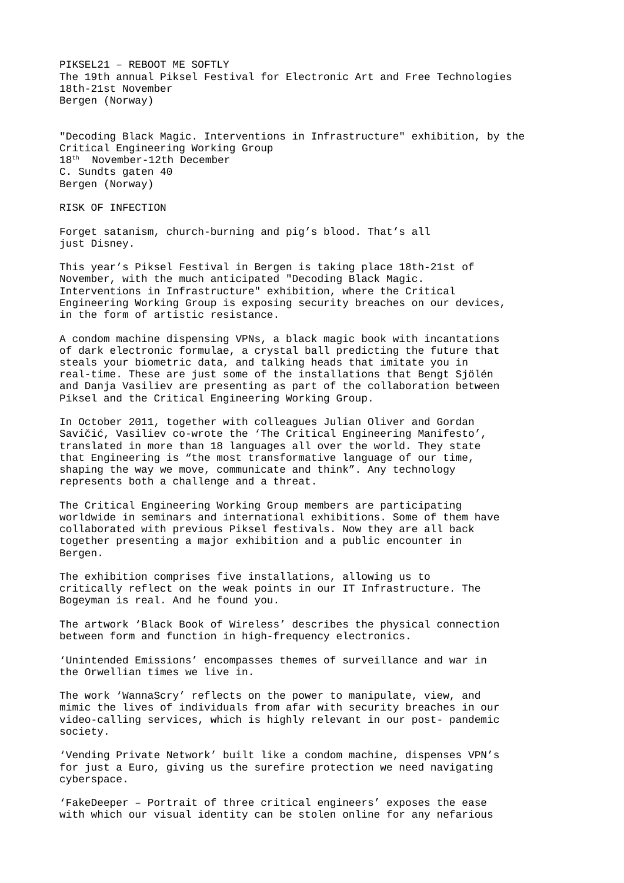PIKSEL21 – REBOOT ME SOFTLY The 19th annual Piksel Festival for Electronic Art and Free Technologies 18th-21st November Bergen (Norway)

"Decoding Black Magic. Interventions in Infrastructure" exhibition, by the Critical Engineering Working Group 18<sup>th</sup> November-12th December C. Sundts gaten 40 Bergen (Norway)

RISK OF INFECTION

Forget satanism, church-burning and pig's blood. That's all just Disney.

This year's Piksel Festival in Bergen is taking place 18th-21st of November, with the much anticipated "Decoding Black Magic. Interventions in Infrastructure" exhibition, where the Critical Engineering Working Group is exposing security breaches on our devices, in the form of artistic resistance.

A condom machine dispensing VPNs, a black magic book with incantations of dark electronic formulae, a crystal ball predicting the future that steals your biometric data, and talking heads that imitate you in real-time. These are just some of the installations that Bengt Sjölén and Danja Vasiliev are presenting as part of the collaboration between Piksel and the Critical Engineering Working Group.

In October 2011, together with colleagues Julian Oliver and Gordan Savičić, Vasiliev co-wrote the 'The Critical Engineering Manifesto', translated in more than 18 languages all over the world. They state that Engineering is "the most transformative language of our time, shaping the way we move, communicate and think". Any technology represents both a challenge and a threat.

The Critical Engineering Working Group members are participating worldwide in seminars and international exhibitions. Some of them have collaborated with previous Piksel festivals. Now they are all back together presenting a major exhibition and a public encounter in Bergen.

The exhibition comprises five installations, allowing us to critically reflect on the weak points in our IT Infrastructure. The Bogeyman is real. And he found you.

The artwork 'Black Book of Wireless' describes the physical connection between form and function in high-frequency electronics.

'Unintended Emissions' encompasses themes of surveillance and war in the Orwellian times we live in.

The work 'WannaScry' reflects on the power to manipulate, view, and mimic the lives of individuals from afar with security breaches in our video-calling services, which is highly relevant in our post- pandemic society.

'Vending Private Network' built like a condom machine, dispenses VPN's for just a Euro, giving us the surefire protection we need navigating cyberspace.

'FakeDeeper – Portrait of three critical engineers' exposes the ease with which our visual identity can be stolen online for any nefarious